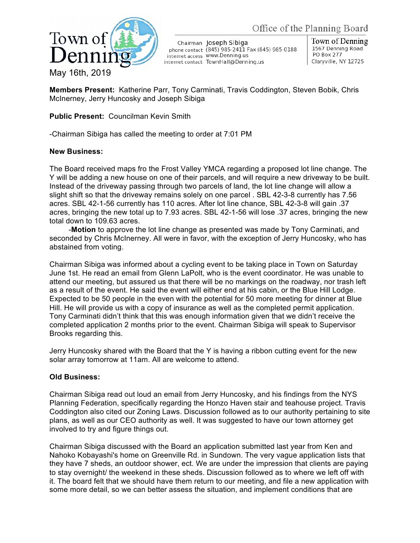



Chairman Joseph Sibiga phone contact (845) 985-2411 Fax (845) 985-0188 internet access WWW.Denning.us internet contact TownHall@Denning.us

Town of Denning 1567 Denning Road **PO Box 277** Claryville, NY 12725

**Members Present:** Katherine Parr, Tony Carminati, Travis Coddington, Steven Bobik, Chris McInerney, Jerry Huncosky and Joseph Sibiga

## **Public Present:** Councilman Kevin Smith

-Chairman Sibiga has called the meeting to order at 7:01 PM

## **New Business:**

The Board received maps fro the Frost Valley YMCA regarding a proposed lot line change. The Y will be adding a new house on one of their parcels, and will require a new driveway to be built. Instead of the driveway passing through two parcels of land, the lot line change will allow a slight shift so that the driveway remains solely on one parcel . SBL 42-3-8 currently has 7.56 acres. SBL 42-1-56 currently has 110 acres. After lot line chance, SBL 42-3-8 will gain .37 acres, bringing the new total up to 7.93 acres. SBL 42-1-56 will lose .37 acres, bringing the new total down to 109.63 acres.

-**Motion** to approve the lot line change as presented was made by Tony Carminati, and seconded by Chris McInerney. All were in favor, with the exception of Jerry Huncosky, who has abstained from voting.

Chairman Sibiga was informed about a cycling event to be taking place in Town on Saturday June 1st. He read an email from Glenn LaPolt, who is the event coordinator. He was unable to attend our meeting, but assured us that there will be no markings on the roadway, nor trash left as a result of the event. He said the event will either end at his cabin, or the Blue Hill Lodge. Expected to be 50 people in the even with the potential for 50 more meeting for dinner at Blue Hill. He will provide us with a copy of insurance as well as the completed permit application. Tony Carminati didn't think that this was enough information given that we didn't receive the completed application 2 months prior to the event. Chairman Sibiga will speak to Supervisor Brooks regarding this.

Jerry Huncosky shared with the Board that the Y is having a ribbon cutting event for the new solar array tomorrow at 11am. All are welcome to attend.

## **Old Business:**

Chairman Sibiga read out loud an email from Jerry Huncosky, and his findings from the NYS Planning Federation, specifically regarding the Honzo Haven stair and teahouse project. Travis Coddington also cited our Zoning Laws. Discussion followed as to our authority pertaining to site plans, as well as our CEO authority as well. It was suggested to have our town attorney get involved to try and figure things out.

Chairman Sibiga discussed with the Board an application submitted last year from Ken and Nahoko Kobayashi's home on Greenville Rd. in Sundown. The very vague application lists that they have 7 sheds, an outdoor shower, ect. We are under the impression that clients are paying to stay overnight/ the weekend in these sheds. Discussion followed as to where we left off with it. The board felt that we should have them return to our meeting, and file a new application with some more detail, so we can better assess the situation, and implement conditions that are